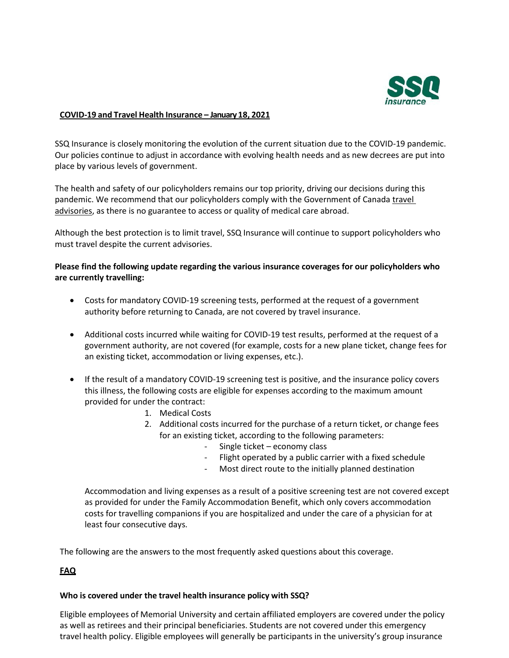

#### **COVID-19 and Travel Health Insurance – January 18, 2021**

SSQ Insurance is closely monitoring the evolution of the current situation due to the COVID-19 pandemic. Our policies continue to adjust in accordance with evolving health needs and as new decrees are put into place by various levels of government.

The health and safety of our policyholders remains our top priority, driving our decisions during this pandemic. We recommend that our policyholders comply with the Government of Canada travel [advisories,](https://travel.gc.ca/travelling/advisories) as there is no guarantee to access or quality of medical care abroad.

Although the best protection is to limit travel, SSQ Insurance will continue to support policyholders who must travel despite the current advisories.

## **Please find the following update regarding the various insurance coverages for our policyholders who are currently travelling:**

- Costs for mandatory COVID-19 screening tests, performed at the request of a government authority before returning to Canada, are not covered by travel insurance.
- Additional costs incurred while waiting for COVID-19 test results, performed at the request of a government authority, are not covered (for example, costs for a new plane ticket, change fees for an existing ticket, accommodation or living expenses, etc.).
- If the result of a mandatory COVID-19 screening test is positive, and the insurance policy covers this illness, the following costs are eligible for expenses according to the maximum amount provided for under the contract:
	- 1. Medical Costs
	- 2. Additional costs incurred for the purchase of a return ticket, or change fees for an existing ticket, according to the following parameters:
		- Single ticket economy class
		- Flight operated by a public carrier with a fixed schedule
		- Most direct route to the initially planned destination

Accommodation and living expenses as a result of a positive screening test are not covered except as provided for under the Family Accommodation Benefit, which only covers accommodation costs for travelling companions if you are hospitalized and under the care of a physician for at least four consecutive days.

The following are the answers to the most frequently asked questions about this coverage.

# **FAQ**

### **Who is covered under the travel health insurance policy with SSQ?**

Eligible employees of Memorial University and certain affiliated employers are covered under the policy as well as retirees and their principal beneficiaries. Students are not covered under this emergency travel health policy. Eligible employees will generally be participants in the university's group insurance